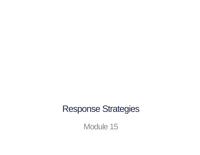#### Response Strategies

Module 15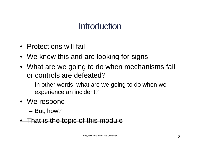### **Introduction**

- Protections will fail
- We know this and are looking for signs
- What are we going to do when mechanisms fail or controls are defeated?
	- In other words, what are we going to do when we experience an incident?
- We respond
	- But, how?
- That is the topic of this module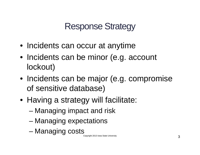# Response Strategy

- Incidents can occur at anytime
- Incidents can be minor (e.g. account lockout)
- Incidents can be major (e.g. compromise of sensitive database)
- Having a strategy will facilitate:
	- Managing impact and risk
	- Managing expectations
	- Managing costs

Copyright 2013 Iowa State University 3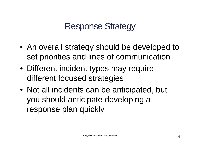# Response Strategy

- An overall strategy should be developed to set priorities and lines of communication
- Different incident types may require different focused strategies
- Not all incidents can be anticipated, but you should anticipate developing a response plan quickly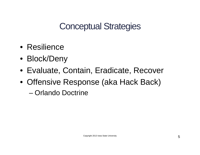Conceptual Strategies

- Resilience
- Block/Deny
- Evaluate, Contain, Eradicate, Recover
- Offensive Response (aka Hack Back)
	- Orlando Doctrine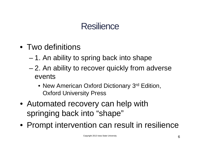- Two definitions
	- 1. An ability to spring back into shape
	- 2. An ability to recover quickly from adverse events
		- New American Oxford Dictionary 3<sup>rd</sup> Edition, Oxford University Press
- Automated recovery can help with springing back into "shape"
- Prompt intervention can result in resilience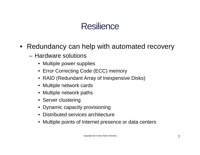- Redundancy can help with automated recovery
	- Hardware solutions
		- Multiple power supplies
		- Error Correcting Code (ECC) memory
		- RAID (Redundant Array of Inexpensive Disks)
		- Multiple network cards
		- Multiple network paths
		- Server clustering
		- Dynamic capacity provisioning
		- Distributed services architecture
		- Multiple points of Internet presence or data centers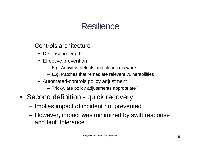- Controls architecture
	- Defense in Depth
	- Effective prevention
		- E.g. Antivirus detects and cleans malware
		- E.g. Patches that remediate relevant vulnerabilities
	- Automated-controls policy adjustment
		- Tricky, are policy adjustments appropriate?
- Second definition quick recovery
	- Implies impact of incident not prevented
	- However, impact was minimized by swift response and fault tolerance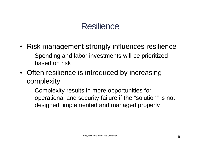- Risk management strongly influences resilience
	- Spending and labor investments will be prioritized based on risk
- Often resilience is introduced by increasing complexity
	- Complexity results in more opportunities for operational and security failure if the "solution" is not designed, implemented and managed properly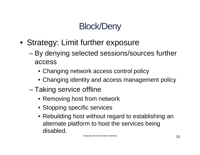# Block/Deny

- Strategy: Limit further exposure
	- By denying selected sessions/sources further access
		- Changing network access control policy
		- Changing identity and access management policy
	- Taking service offline
		- Removing host from network
		- Stopping specific services
		- Rebuilding host without regard to establishing an alternate platform to host the services being disabled.

Copyright 2013 Iowa State University **10**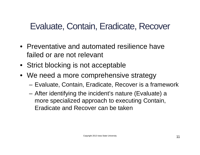- Preventative and automated resilience have failed or are not relevant
- Strict blocking is not acceptable
- We need a more comprehensive strategy
	- Evaluate, Contain, Eradicate, Recover is a framework
	- After identifying the incident's nature (Evaluate) a more specialized approach to executing Contain, Eradicate and Recover can be taken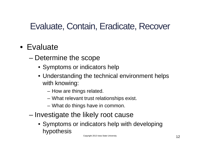#### • Evaluate

- Determine the scope
	- Symptoms or indicators help
	- Understanding the technical environment helps with knowing:
		- How are things related.
		- What relevant trust relationships exist.
		- What do things have in common.
- Investigate the likely root cause
	- Symptoms or indicators help with developing hypothesis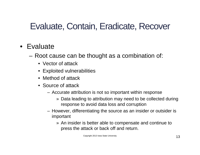#### • Evaluate

- Root cause can be thought as a combination of:
	- Vector of attack
	- Exploited vulnerabilities
	- Method of attack
	- Source of attack
		- Accurate attribution is not so important within response
			- » Data leading to attribution may need to be collected during response to avoid data loss and corruption
		- However, differentiating the source as an insider or outsider is important
			- » An insider is better able to compensate and continue to press the attack or back off and return.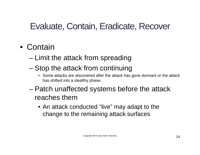#### • Contain

- Limit the attack from spreading
- Stop the attack from continuing
	- Some attacks are discovered after the attack has gone dormant or the attack has shifted into a stealthy phase.
- Patch unaffected systems before the attack reaches them
	- An attack conducted "live" may adapt to the change to the remaining attack surfaces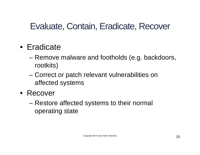- Eradicate
	- Remove malware and footholds (e.g. backdoors, rootkits)
	- Correct or patch relevant vulnerabilities on affected systems
- Recover
	- Restore affected systems to their normal operating state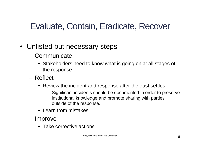- Unlisted but necessary steps
	- Communicate
		- Stakeholders need to know what is going on at all stages of the response
	- Reflect
		- Review the incident and response after the dust settles
			- Significant incidents should be documented in order to preserve institutional knowledge and promote sharing with parties outside of the response.
		- Learn from mistakes
	- Improve
		- Take corrective actions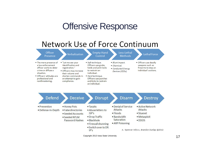#### Offensive Response

#### Network Use of Force Continuum



Copyright 2013 Iowa State University **17**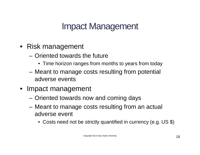- Risk management
	- Oriented towards the future
		- Time horizon ranges from months to years from today
	- Meant to manage costs resulting from potential adverse events
- Impact management
	- Oriented towards now and coming days
	- Meant to manage costs resulting from an actual adverse event
		- Costs need not be strictly quantified in currency (e.g. US \$)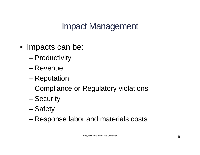- Impacts can be:
	- Productivity
	- Revenue
	- Reputation
	- Compliance or Regulatory violations
	- Security
	- Safety
	- Response labor and materials costs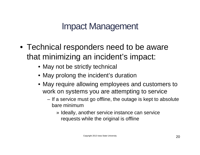- Technical responders need to be aware that minimizing an incident's impact:
	- May not be strictly technical
	- May prolong the incident's duration
	- May require allowing employees and customers to work on systems you are attempting to service
		- If a service must go offline, the outage is kept to absolute bare minimum
			- » Ideally, another service instance can service requests while the original is offline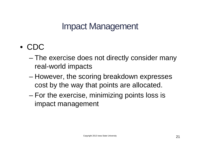- CDC
	- The exercise does not directly consider many real-world impacts
	- However, the scoring breakdown expresses cost by the way that points are allocated.
	- For the exercise, minimizing points loss is impact management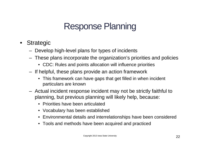- Strategic
	- Develop high-level plans for types of incidents
	- These plans incorporate the organization's priorities and policies
		- CDC: Rules and points allocation will influence priorities
	- If helpful, these plans provide an action framework
		- This framework can have gaps that get filled in when incident particulars are known
	- Actual incident response incident may not be strictly faithful to planning, but previous planning will likely help, because:
		- Priorities have been articulated
		- Vocabulary has been established
		- Environmental details and interrelationships have been considered
		- Tools and methods have been acquired and practiced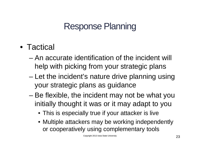- Tactical
	- An accurate identification of the incident will help with picking from your strategic plans
	- Let the incident's nature drive planning using your strategic plans as guidance
	- Be flexible, the incident may not be what you initially thought it was or it may adapt to you
		- This is especially true if your attacker is live
		- Multiple attackers may be working independently or cooperatively using complementary tools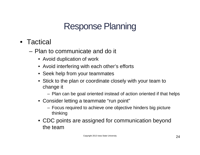- Tactical
	- Plan to communicate and do it
		- Avoid duplication of work
		- Avoid interfering with each other's efforts
		- Seek help from your teammates
		- Stick to the plan or coordinate closely with your team to change it
			- Plan can be goal oriented instead of action oriented if that helps
		- Consider letting a teammate "run point"
			- Focus required to achieve one objective hinders big picture thinking
		- CDC points are assigned for communication beyond the team